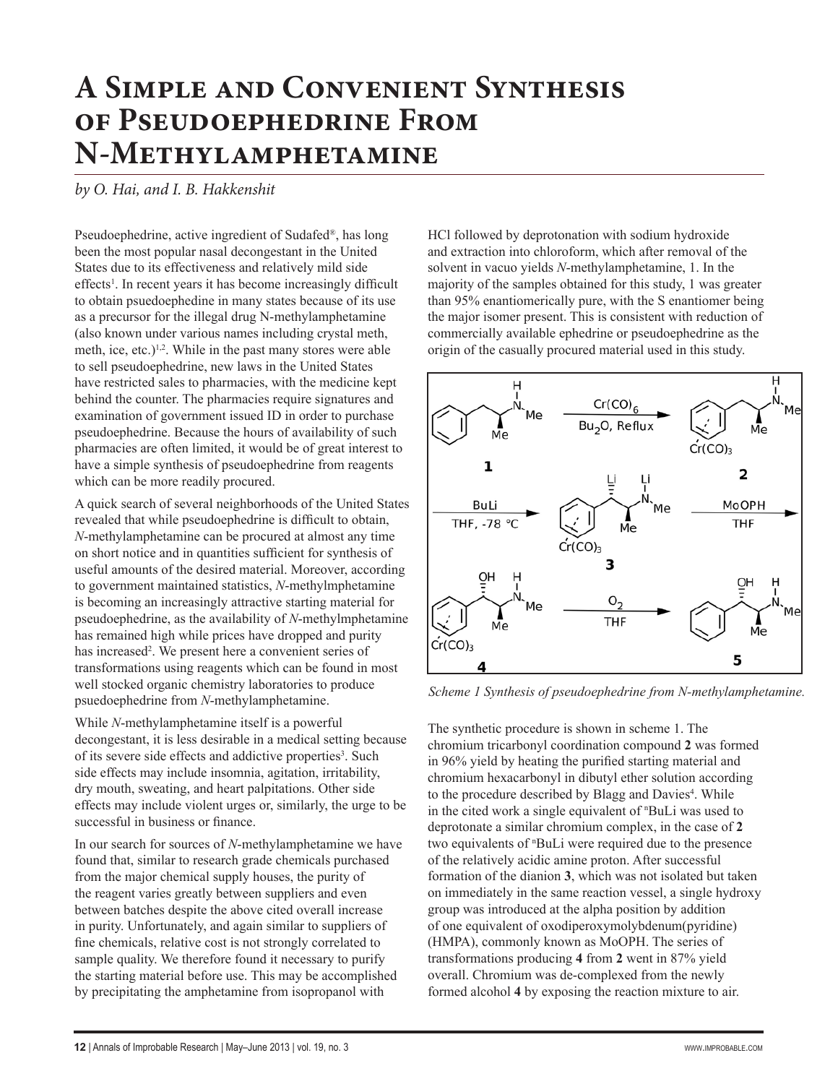## **A Simple and Convenient Synthesis of Pseudoephedrine From N-Methylamphetamine**

*by O. Hai, and I. B. Hakkenshit*

Pseudoephedrine, active ingredient of Sudafed®, has long been the most popular nasal decongestant in the United States due to its effectiveness and relatively mild side effects<sup>1</sup>. In recent years it has become increasingly difficult to obtain psuedoephedine in many states because of its use as a precursor for the illegal drug N-methylamphetamine (also known under various names including crystal meth, meth, ice, etc.) $1,2$ . While in the past many stores were able to sell pseudoephedrine, new laws in the United States have restricted sales to pharmacies, with the medicine kept behind the counter. The pharmacies require signatures and examination of government issued ID in order to purchase pseudoephedrine. Because the hours of availability of such pharmacies are often limited, it would be of great interest to have a simple synthesis of pseudoephedrine from reagents which can be more readily procured.

A quick search of several neighborhoods of the United States revealed that while pseudoephedrine is difficult to obtain, *N*-methylamphetamine can be procured at almost any time on short notice and in quantities sufficient for synthesis of useful amounts of the desired material. Moreover, according to government maintained statistics, *N*-methylmphetamine is becoming an increasingly attractive starting material for pseudoephedrine, as the availability of *N*-methylmphetamine has remained high while prices have dropped and purity has increased<sup>2</sup>. We present here a convenient series of transformations using reagents which can be found in most well stocked organic chemistry laboratories to produce psuedoephedrine from *N*-methylamphetamine.

While *N*-methylamphetamine itself is a powerful decongestant, it is less desirable in a medical setting because of its severe side effects and addictive properties<sup>3</sup>. Such side effects may include insomnia, agitation, irritability, dry mouth, sweating, and heart palpitations. Other side effects may include violent urges or, similarly, the urge to be successful in business or finance.

In our search for sources of *N*-methylamphetamine we have found that, similar to research grade chemicals purchased from the major chemical supply houses, the purity of the reagent varies greatly between suppliers and even between batches despite the above cited overall increase in purity. Unfortunately, and again similar to suppliers of fine chemicals, relative cost is not strongly correlated to sample quality. We therefore found it necessary to purify the starting material before use. This may be accomplished by precipitating the amphetamine from isopropanol with

HCl followed by deprotonation with sodium hydroxide and extraction into chloroform, which after removal of the solvent in vacuo yields *N*-methylamphetamine, 1. In the majority of the samples obtained for this study, 1 was greater than 95% enantiomerically pure, with the S enantiomer being the major isomer present. This is consistent with reduction of commercially available ephedrine or pseudoephedrine as the origin of the casually procured material used in this study.



*Scheme 1 Synthesis of pseudoephedrine from N-methylamphetamine.*

The synthetic procedure is shown in scheme 1. The chromium tricarbonyl coordination compound **2** was formed in 96% yield by heating the purified starting material and chromium hexacarbonyl in dibutyl ether solution according to the procedure described by Blagg and Davies<sup>4</sup>. While in the cited work a single equivalent of <sup>n</sup> BuLi was used to deprotonate a similar chromium complex, in the case of **2** two equivalents of <sup>n</sup> BuLi were required due to the presence of the relatively acidic amine proton. After successful formation of the dianion **3**, which was not isolated but taken on immediately in the same reaction vessel, a single hydroxy group was introduced at the alpha position by addition of one equivalent of oxodiperoxymolybdenum(pyridine) (HMPA), commonly known as MoOPH. The series of transformations producing **4** from **2** went in 87% yield overall. Chromium was de-complexed from the newly formed alcohol **4** by exposing the reaction mixture to air.